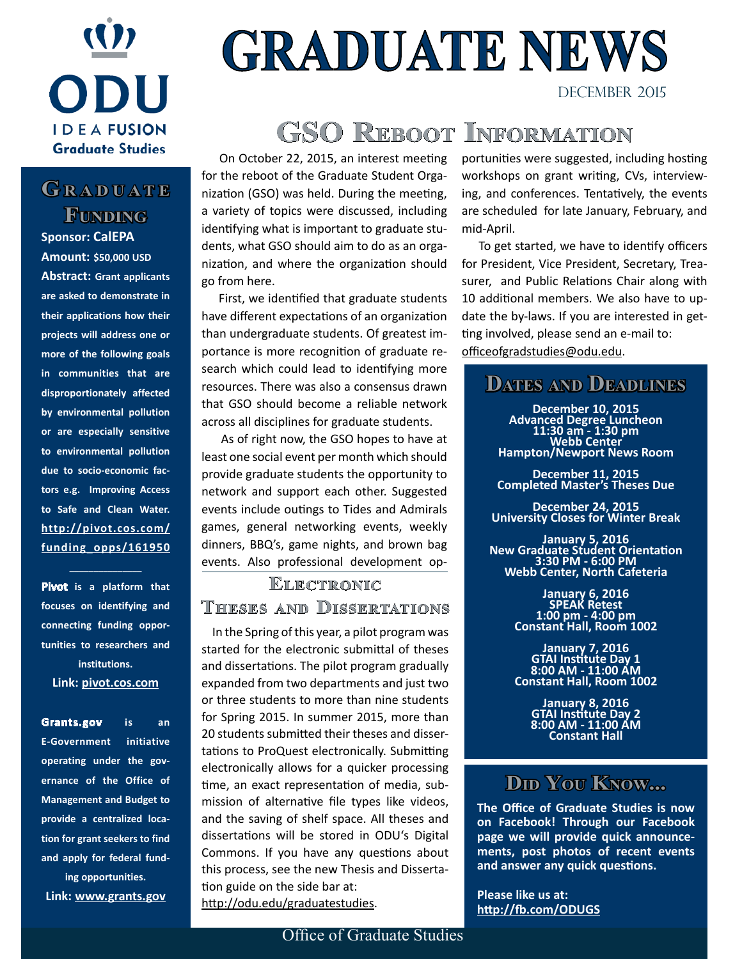

## **G r a <sup>d</sup> u a t e Funding**

**Sponsor: CalEPA Amount: \$50,000 USD Abstract: Grant applicants are asked to demonstrate in their applications how their projects will address one or more of the following goals in communities that are disproportionately affected by environmental pollution or are especially sensitive to environmental pollution due to socio-economic factors e.g. Improving Access to Safe and Clean Water. [http://pivot.cos.com/](http://pivot.cos.com/funding_opps/161950) [funding\\_opps/161950](http://pivot.cos.com/funding_opps/161950)**

**Pivot is a platform that focuses on identifying and connecting funding opportunities to researchers and institutions.** 

**\_\_\_\_\_\_\_\_\_\_\_\_\_\_\_**

**[Link: pivot.cos.com](http://pivot.cos.com)**

**Grants.gov is an E-Government initiative operating under the governance of the Office of Management and Budget to provide a centralized location for grant seekers to find and apply for federal funding opportunities. [Link: www.grants.gov](http://www.grants.gov)**

# **GRADUATE NEWS**

# **GSO Reboot Information**

 On October 22, 2015, an interest meeting for the reboot of the Graduate Student Organization (GSO) was held. During the meeting, a variety of topics were discussed, including identifying what is important to graduate students, what GSO should aim to do as an organization, and where the organization should go from here.

 First, we identified that graduate students have different expectations of an organization than undergraduate students. Of greatest importance is more recognition of graduate research which could lead to identifying more resources. There was also a consensus drawn that GSO should become a reliable network across all disciplines for graduate students.

 As of right now, the GSO hopes to have at least one social event per month which should provide graduate students the opportunity to network and support each other. Suggested events include outings to Tides and Admirals games, general networking events, weekly dinners, BBQ's, game nights, and brown bag events. Also professional development op-

### **ELECTRONIC Theses and Dissertations**

 In the Spring of this year, a pilot program was started for the electronic submittal of theses and dissertations. The pilot program gradually expanded from two departments and just two or three students to more than nine students for Spring 2015. In summer 2015, more than 20 students submitted their theses and dissertations to ProQuest electronically. Submitting electronically allows for a quicker processing time, an exact representation of media, submission of alternative file types like videos, and the saving of shelf space. All theses and dissertations will be stored in ODU's Digital Commons. If you have any questions about this process, see the new Thesis and Dissertation guide on the side bar at: [http://odu.edu/graduatestudies.](http://odu.edu/graduatestudies)

portunities were suggested, including hosting workshops on grant writing, CVs, interviewing, and conferences. Tentatively, the events are scheduled for late January, February, and mid-April.

DECEMBER 2015

 To get started, we have to identify officers for President, Vice President, Secretary, Treasurer, and Public Relations Chair along with 10 additional members. We also have to update the by-laws. If you are interested in getting involved, please send an e-mail to: officeofgradstudies@odu.edu.

### **Dates and Deadlines**

**December 10, 2015 Advanced Degree Luncheon 11:30 am - 1:30 pm Webb Center Hampton/Newport News Room**

**December 11, 2015 Completed Master's Theses Due**

**December 24, 2015 University Closes for Winter Break**

**January 5, 2016 New Graduate Student Orientation 3:30 PM - 6:00 PM Webb Center, North Cafeteria**

> **January 6, 2016 SPEAK Retest 1:00 pm - 4:00 pm Constant Hall, Room 1002**

> **January 7, 2016 GTAI Institute Day 1 8:00 AM - 11:00 AM Constant Hall, Room 1002**

**January 8, 2016 GTAI Institute Day 2 8:00 AM - 11:00 AM Constant Hall**

### **DID YOU KNOW...**

**The Office of Graduate Studies is now on Facebook! Through our Facebook page we will provide quick announcements, post photos of recent events and answer any quick questions.** 

**Please like us at: <http://fb.com/ODUGS>**